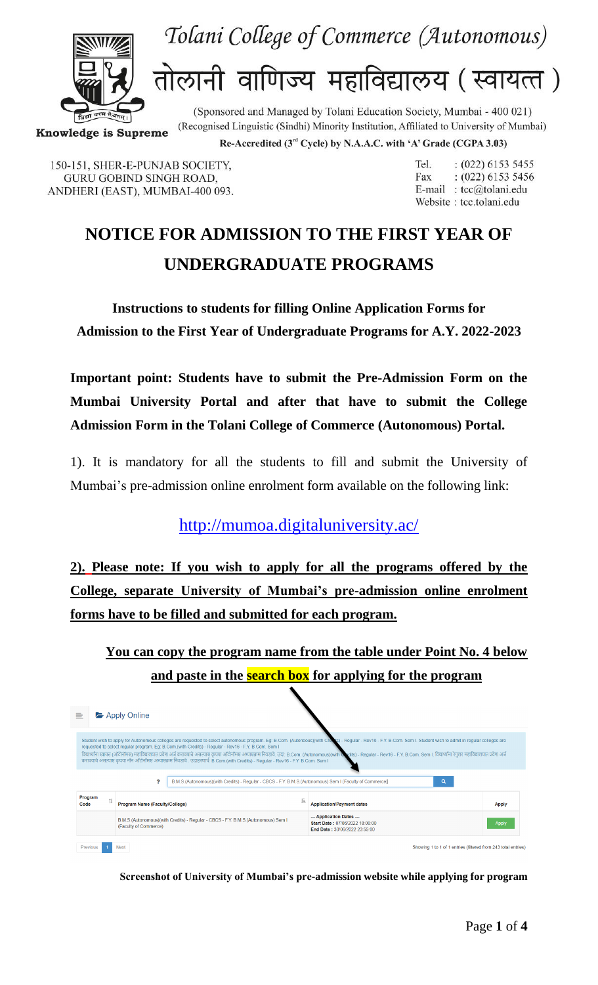



तोलानी वाणिज्य महाविद्यालय (स्वायत्त)

(Recognised Linguistic (Sindhi) Minority Institution, Affiliated to University of Mumbai) **Knowledge is Supreme** 

Re-Accredited (3<sup>rd</sup> Cycle) by N.A.A.C. with 'A' Grade (CGPA 3.03)

(Sponsored and Managed by Tolani Education Society, Mumbai - 400 021)

150-151, SHER-E-PUNJAB SOCIETY, **GURU GOBIND SINGH ROAD,** ANDHERI (EAST), MUMBAI-400 093. Tel.  $: (022) 6153 5455$  $: (022) 6153 5456$ Fax E-mail: tcc@tolani.edu Website: tcc.tolani.edu

## **NOTICE FOR ADMISSION TO THE FIRST YEAR OF UNDERGRADUATE PROGRAMS**

**Instructions to students for filling Online Application Forms for Admission to the First Year of Undergraduate Programs for A.Y. 2022-2023**

**Important point: Students have to submit the Pre-Admission Form on the Mumbai University Portal and after that have to submit the College Admission Form in the Tolani College of Commerce (Autonomous) Portal.**

1). It is mandatory for all the students to fill and submit the University of Mumbai's pre-admission online enrolment form available on the following link:

<http://mumoa.digitaluniversity.ac/>

**2). Please note: If you wish to apply for all the programs offered by the College, separate University of Mumbai's pre-admission online enrolment forms have to be filled and submitted for each program.**

**You can copy the program name from the table under Point No. 4 below and paste in the search box for applying for the program**

| 亖                                                                                                                                                                                                                                                                                                                                                                                                                                                                                                                                                                                                                                                                                             | Apply Online                                                                                               |                                                                                                         |  |                                                                                               |              |  |  |  |
|-----------------------------------------------------------------------------------------------------------------------------------------------------------------------------------------------------------------------------------------------------------------------------------------------------------------------------------------------------------------------------------------------------------------------------------------------------------------------------------------------------------------------------------------------------------------------------------------------------------------------------------------------------------------------------------------------|------------------------------------------------------------------------------------------------------------|---------------------------------------------------------------------------------------------------------|--|-----------------------------------------------------------------------------------------------|--------------|--|--|--|
| Student wish to apply for Autonomous colleges are requested to select autonomous program. Eq: B.Com. (Autonoous)(with Creek's) - Regular - Rev16 - F.Y. B.Com. Sem I. Student wish to admit in regular colleges are<br>requested to select regular program. Eg: B.Com.(with Credits) - Regular - Rev16 - F.Y. B.Com. Sem I<br>विद्यार्थ्याना स्वासन (ऑटोनॉमस) महाविद्यालयात प्रवेश अर्ज करावयाचे असल्यास कृपया ऑटोनॉमस अथासक्रम निवडावे. उदा: B.Com. (Autonomous)(with Wolts) - Regular - Rev16 - F.Y. B.Com. Sem I. विद्यार्थांना रेगुलर महाविद्यालयात प्र<br>करावयाचे असल्यास कृपया नॉन ऑटोनॉमस अभ्यासक्रम निवडावे . उदाहरणार्थ: B.Com.(with Credits) - Regular - Rev16 - F.Y. B.Com. Sem I |                                                                                                            |                                                                                                         |  |                                                                                               |              |  |  |  |
|                                                                                                                                                                                                                                                                                                                                                                                                                                                                                                                                                                                                                                                                                               | P                                                                                                          | B.M.S.(Autonomous)(with Credits) - Regular - CBCS - F.Y. B.M.S.(Autonomous) Sem I (Faculty of Commerce) |  | Q                                                                                             |              |  |  |  |
| Program<br>11<br>Code                                                                                                                                                                                                                                                                                                                                                                                                                                                                                                                                                                                                                                                                         | Program Name (Faculty/College)                                                                             |                                                                                                         |  | <b>Application/Payment dates</b>                                                              | <b>Apply</b> |  |  |  |
|                                                                                                                                                                                                                                                                                                                                                                                                                                                                                                                                                                                                                                                                                               | B.M.S.(Autonomous)(with Credits) - Regular - CBCS - F.Y. B.M.S.(Autonomous) Sem I<br>(Faculty of Commerce) |                                                                                                         |  | --- Application Dates ---<br>Start Date: 07/06/2022 18:00:00<br>End Date: 30/06/2022 23:55:00 | <b>Apply</b> |  |  |  |
| Previous                                                                                                                                                                                                                                                                                                                                                                                                                                                                                                                                                                                                                                                                                      | <b>Next</b>                                                                                                |                                                                                                         |  | Showing 1 to 1 of 1 entries (filtered from 243 total entries)                                 |              |  |  |  |

**Screenshot of University of Mumbai's pre-admission website while applying for program**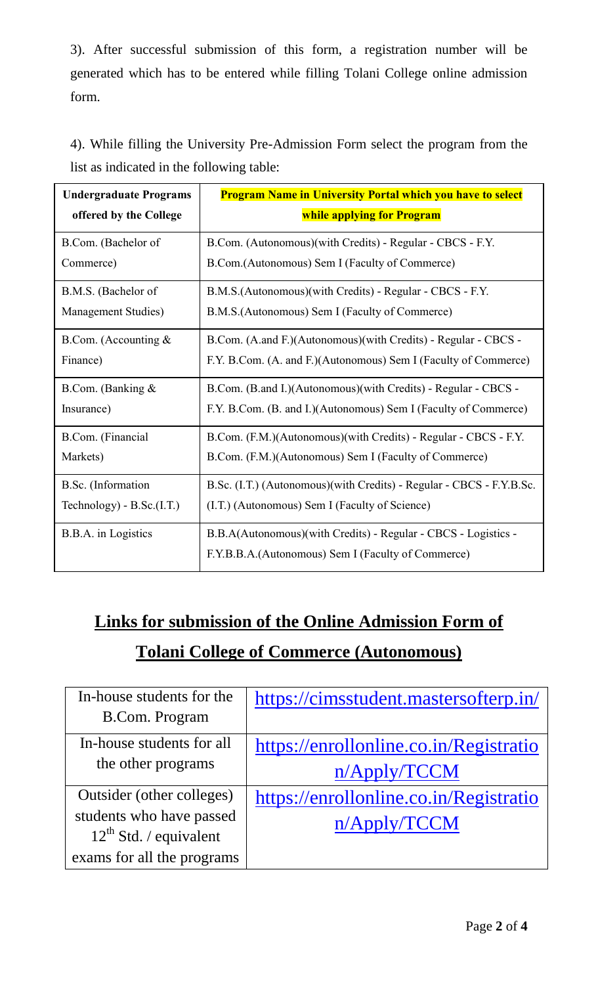3). After successful submission of this form, a registration number will be generated which has to be entered while filling Tolani College online admission form.

4). While filling the University Pre-Admission Form select the program from the list as indicated in the following table:

| <b>Undergraduate Programs</b> | <b>Program Name in University Portal which you have to select</b>     |  |  |
|-------------------------------|-----------------------------------------------------------------------|--|--|
| offered by the College        | while applying for Program                                            |  |  |
| B.Com. (Bachelor of           | B.Com. (Autonomous)(with Credits) - Regular - CBCS - F.Y.             |  |  |
| Commerce)                     | B.Com.(Autonomous) Sem I (Faculty of Commerce)                        |  |  |
| B.M.S. (Bachelor of           | B.M.S.(Autonomous)(with Credits) - Regular - CBCS - F.Y.              |  |  |
| Management Studies)           | B.M.S. (Autonomous) Sem I (Faculty of Commerce)                       |  |  |
| B.Com. (Accounting $&$        | B.Com. (A.and F.)(Autonomous)(with Credits) - Regular - CBCS -        |  |  |
| Finance)                      | F.Y. B.Com. (A. and F.)(Autonomous) Sem I (Faculty of Commerce)       |  |  |
| B.Com. (Banking &             | B.Com. (B.and I.)(Autonomous)(with Credits) - Regular - CBCS -        |  |  |
| Insurance)                    | F.Y. B.Com. (B. and I.)(Autonomous) Sem I (Faculty of Commerce)       |  |  |
| B.Com. (Financial             | B.Com. (F.M.)(Autonomous)(with Credits) - Regular - CBCS - F.Y.       |  |  |
| Markets)                      | B.Com. (F.M.)(Autonomous) Sem I (Faculty of Commerce)                 |  |  |
| B.Sc. (Information            | B.Sc. (I.T.) (Autonomous) (with Credits) - Regular - CBCS - F.Y.B.Sc. |  |  |
| Technology) - $B.Sc.(I.T.)$   | (I.T.) (Autonomous) Sem I (Faculty of Science)                        |  |  |
| B.B.A. in Logistics           | B.B.A(Autonomous)(with Credits) - Regular - CBCS - Logistics -        |  |  |
|                               | F.Y.B.B.A.(Autonomous) Sem I (Faculty of Commerce)                    |  |  |

## **Links for submission of the Online Admission Form of Tolani College of Commerce (Autonomous)**

| In-house students for the<br><b>B.Com. Program</b>                                   | https://cimsstudent.mastersofterp.in/                  |
|--------------------------------------------------------------------------------------|--------------------------------------------------------|
| In-house students for all<br>the other programs                                      | https://enrollonline.co.in/Registratio<br>n/Apply/TCCM |
| Outsider (other colleges)<br>students who have passed<br>$12^{th}$ Std. / equivalent | https://enrollonline.co.in/Registratio<br>n/Apply/TCCM |
| exams for all the programs                                                           |                                                        |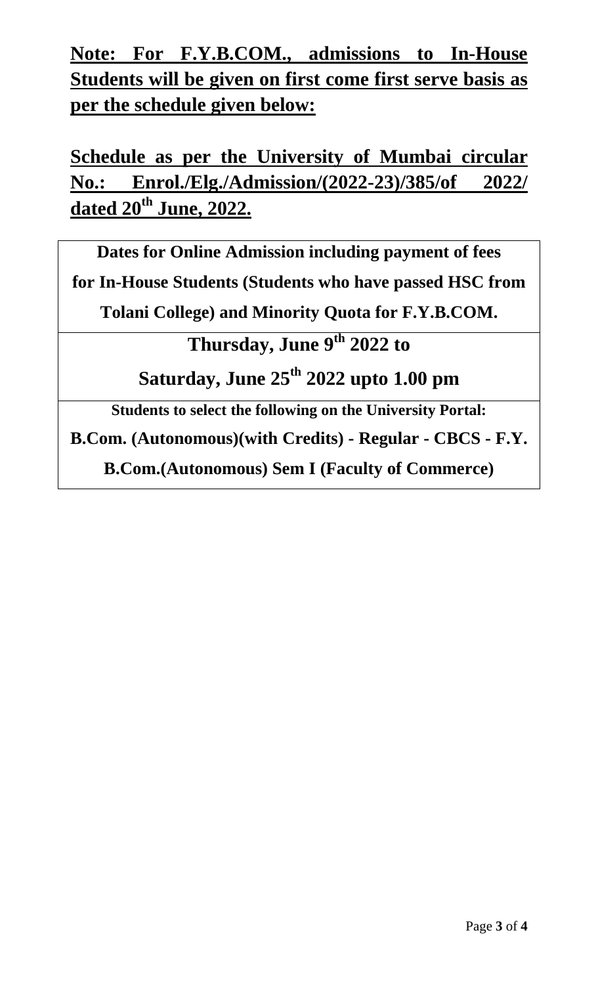**Note: For F.Y.B.COM., admissions to In-House Students will be given on first come first serve basis as per the schedule given below:**

**Schedule as per the University of Mumbai circular No.: Enrol./Elg./Admission/(2022-23)/385/of 2022/ dated 20th June, 2022.**

**Dates for Online Admission including payment of fees for In-House Students (Students who have passed HSC from Tolani College) and Minority Quota for F.Y.B.COM.**

**Thursday, June 9 th 2022 to** 

**Saturday, June 25 th 2022 upto 1.00 pm**

**Students to select the following on the University Portal:**

**B.Com. (Autonomous)(with Credits) - Regular - CBCS - F.Y.** 

**B.Com.(Autonomous) Sem I (Faculty of Commerce)**